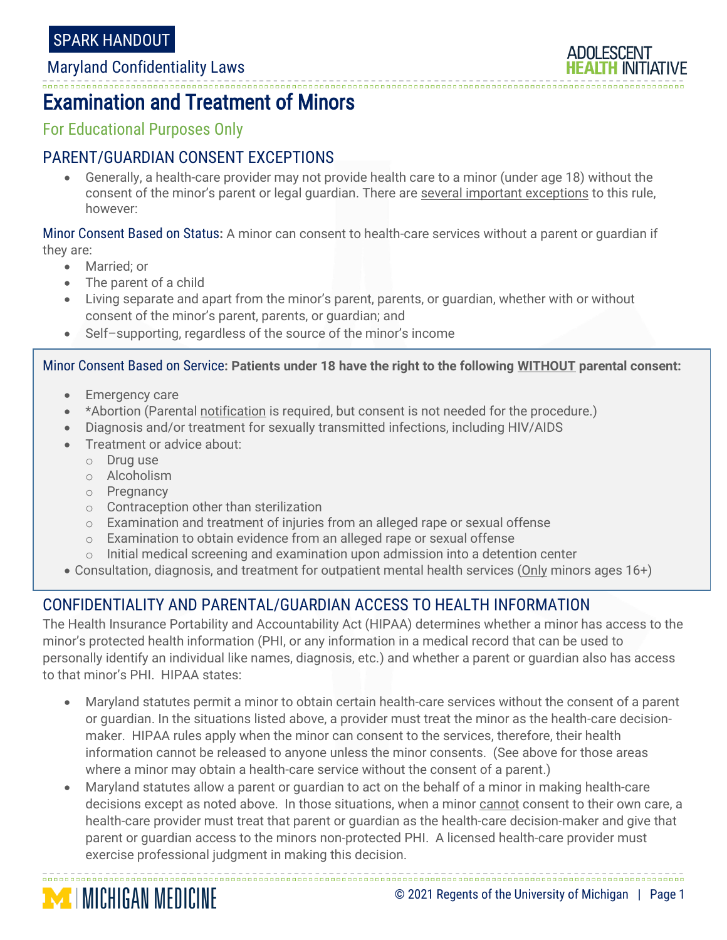#### -------------------------------Examination and Treatment of Minors

For Educational Purposes Only

## PARENT/GUARDIAN CONSENT EXCEPTIONS

 Generally, a health-care provider may not provide health care to a minor (under age 18) without the consent of the minor's parent or legal guardian. There are several important exceptions to this rule, however:

Minor Consent Based on Status**:** A minor can consent to health-care services without a parent or guardian if they are:

- Married; or
- The parent of a child
- Living separate and apart from the minor's parent, parents, or guardian, whether with or without consent of the minor's parent, parents, or guardian; and
- Self–supporting, regardless of the source of the minor's income

#### Minor Consent Based on Service**: Patients under 18 have the right to the following WITHOUT parental consent:**

- Emergency care
- \*Abortion (Parental notification is required, but consent is not needed for the procedure.)
- Diagnosis and/or treatment for sexually transmitted infections, including HIV/AIDS
- Treatment or advice about:
	- o Drug use
	- o Alcoholism
	- o Pregnancy

**MICHIGAN MEDICINE** 

- o Contraception other than sterilization
- $\circ$  Examination and treatment of injuries from an alleged rape or sexual offense
- $\circ$  Examination to obtain evidence from an alleged rape or sexual offense
- o Initial medical screening and examination upon admission into a detention center
- Consultation, diagnosis, and treatment for outpatient mental health services (Only minors ages 16+)

# CONFIDENTIALITY AND PARENTAL/GUARDIAN ACCESS TO HEALTH INFORMATION

The Health Insurance Portability and Accountability Act (HIPAA) determines whether a minor has access to the minor's protected health information (PHI, or any information in a medical record that can be used to personally identify an individual like names, diagnosis, etc.) and whether a parent or guardian also has access to that minor's PHI. HIPAA states:

- Maryland statutes permit a minor to obtain certain health-care services without the consent of a parent or guardian. In the situations listed above, a provider must treat the minor as the health-care decisionmaker. HIPAA rules apply when the minor can consent to the services, therefore, their health information cannot be released to anyone unless the minor consents. (See above for those areas where a minor may obtain a health-care service without the consent of a parent.)
- Maryland statutes allow a parent or guardian to act on the behalf of a minor in making health-care decisions except as noted above. In those situations, when a minor cannot consent to their own care, a health-care provider must treat that parent or guardian as the health-care decision-maker and give that parent or guardian access to the minors non-protected PHI. A licensed health-care provider must exercise professional judgment in making this decision.